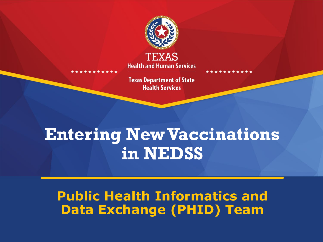

**Health and Human Services** 

**Texas Department of State Health Services** 

### **Entering New Vaccinations in NEDSS**

#### **Public Health Informatics and Data Exchange (PHID) Team**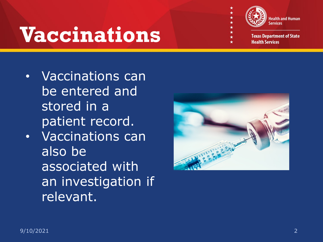# **Vaccinations**



- Vaccinations can be entered and stored in a patient record.
- Vaccinations can also be associated with an investigation if relevant.

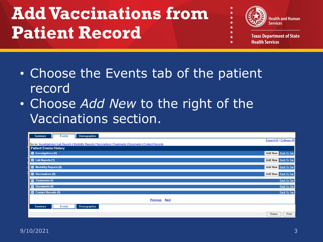### **Add Vaccinations from Patient Record**



 $\star$ 

- Choose the Events tab of the patient record
- Choose *Add New* to the right of the Vaccinations section.

| <b>Demographics</b><br><b>Summary</b><br>Events                                                                                                    |                            |
|----------------------------------------------------------------------------------------------------------------------------------------------------|----------------------------|
|                                                                                                                                                    | Expand All   Collapse All  |
| Go to: Investigations   Lab Reports   Morbidity Reports   Vaccinations   Treatments   Documents   Contact Records<br><b>Patient Events History</b> |                            |
|                                                                                                                                                    |                            |
| <b>C</b> Investigations (0)                                                                                                                        | Add New Back To Top        |
| <b>B</b> Lab Reports (1)                                                                                                                           | Add New Back To Top        |
| Morbidity Reports (0)                                                                                                                              | Add New Back To Top        |
| Vaccinations (0)                                                                                                                                   | <b>Add New Back To Top</b> |
| Treatments (0)                                                                                                                                     | <b>Back To Top</b>         |
| Documents (0)                                                                                                                                      | <b>Back To Top</b>         |
| <b>Contact Records (0)</b>                                                                                                                         | <b>Back To Top</b>         |
| <b>Previous</b><br><b>Next</b>                                                                                                                     |                            |
| Events<br><b>Demographics</b><br><b>Summary</b>                                                                                                    |                            |
|                                                                                                                                                    | Print<br>Delete            |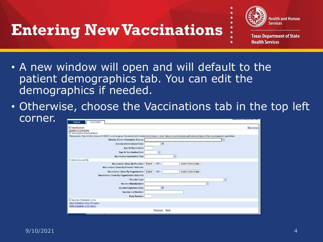### **Entering New Vaccinations**



- A new window will open and will default to the patient demographics tab. You can edit the demographics if needed.
- Otherwise, choose the Vaccinations tab in the top left corner.

| Patient<br>Vaccination                                                                                                                                                 | muntates a required Fiel |
|------------------------------------------------------------------------------------------------------------------------------------------------------------------------|--------------------------|
| Vaccination<br><b>Collapse Subsections</b><br>Vaccination Administered                                                                                                 | <b>Back to top</b>       |
| Please note: Record ALL doses of EVERY vaccine given. Record all information that is known, even data on vaccine doses administered beyond the recommended quidelines. |                          |
| <b>Vaccine Event Information Source:</b>                                                                                                                               |                          |
| 圛<br><b>Vaccine Administered Date:</b>                                                                                                                                 |                          |
| <b>Age At Vaccination:</b>                                                                                                                                             |                          |
| <b>Age At Vaccination Unit:</b><br>$\checkmark$                                                                                                                        |                          |
| <b>Vaccination Anatomical Site:</b><br>$\checkmark$                                                                                                                    |                          |
| Administered By                                                                                                                                                        |                          |
| $-OR -$<br>Vaccination Given By Provider: Search<br>Quick Code Lookup                                                                                                  |                          |
| Vaccination Given By Provider Selected:                                                                                                                                |                          |
| Vaccination Given By Organization: Search<br>$-OR -$<br>Quick Code Lookup                                                                                              |                          |
| Vaccination Given By Organization Selected:                                                                                                                            |                          |
| * Vaccine Type:                                                                                                                                                        | $\checkmark$             |
| <b>Vaccine Manufacturer:</b>                                                                                                                                           |                          |
| ■<br><b>Vaccine Expiration Date:</b>                                                                                                                                   |                          |
| <b>Vaccine Lot Number:</b>                                                                                                                                             |                          |
| Dose Number:                                                                                                                                                           |                          |
| Vaccine Schedule Links                                                                                                                                                 |                          |
| Adult Schedule (Over 18 years)                                                                                                                                         |                          |
| Child Schedule (0-18 years)                                                                                                                                            |                          |
| <b>Previous</b><br><b>Next</b>                                                                                                                                         |                          |
|                                                                                                                                                                        |                          |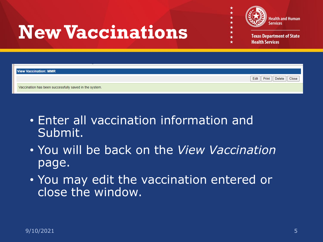

 $\star$ 

## **New Vaccinations**

| <b>View Vaccination: MMR</b>                           |                                  |
|--------------------------------------------------------|----------------------------------|
|                                                        | Edit   Print   Delete  <br>Close |
| Vaccination has been successfully saved in the system. |                                  |
|                                                        |                                  |

- Enter all vaccination information and Submit.
- You will be back on the *View Vaccination*  page.
- You may edit the vaccination entered or close the window.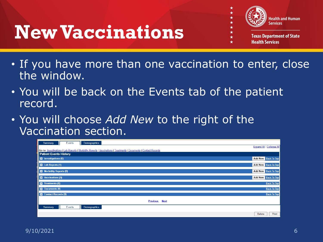### **New Vaccinations**



- **Health Services**
- If you have more than one vaccination to enter, close the window.
- You will be back on the Events tab of the patient record.
- You will choose *Add New* to the right of the Vaccination section.

| Demographics<br><b>Summary</b><br>Events                                                                          |                           |
|-------------------------------------------------------------------------------------------------------------------|---------------------------|
|                                                                                                                   | Expand All   Collapse All |
| Go to: Investigations   Lab Reports   Morbidity Reports   Vaccinations   Treatments   Documents   Contact Records |                           |
| <b>Patient Events History</b>                                                                                     |                           |
| <b>C</b> Investigations (0)                                                                                       | Add New Back To Top       |
| <b>B</b> Lab Reports (1)                                                                                          | Add New Back To Top       |
| <b>B</b> Morbidity Reports (0)                                                                                    | Add New Back To Top       |
| Vaccinations (0)                                                                                                  | Add New Back To Top       |
| Treatments (0)                                                                                                    | <b>Back To Top</b>        |
| <b>Documents (0)</b>                                                                                              | <b>Back To Top</b>        |
| <b>Contact Records (0)</b>                                                                                        | <b>Back To Top</b>        |
| <b>Previous Next</b>                                                                                              |                           |
| <b>Demographics</b><br>Summary<br>Events                                                                          |                           |
|                                                                                                                   | Print<br>Delete           |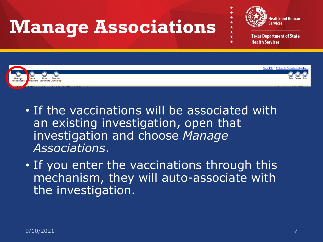

- If the vaccinations will be associated with an existing investigation, open that investigation and choose *Manage Associations*.
- If you enter the vaccinations through this mechanism, they will auto-associate with the investigation.